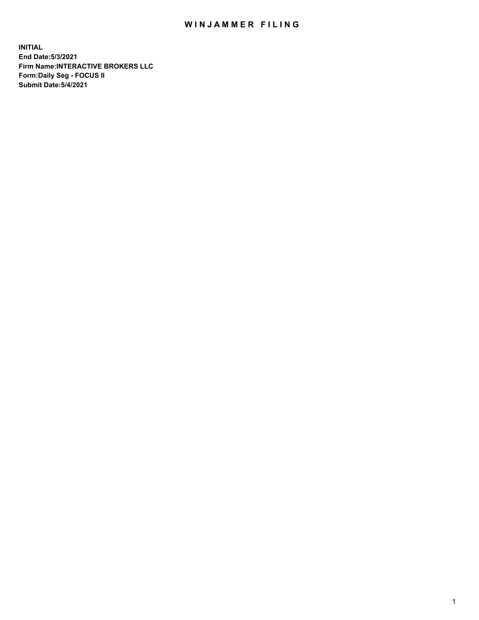## WIN JAMMER FILING

**INITIAL End Date:5/3/2021 Firm Name:INTERACTIVE BROKERS LLC Form:Daily Seg - FOCUS II Submit Date:5/4/2021**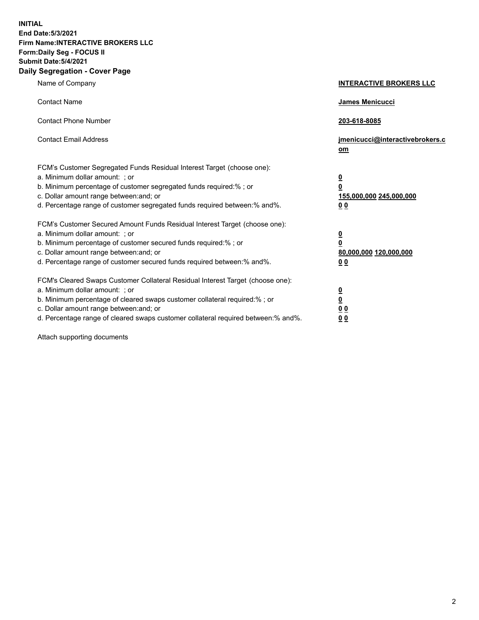**INITIAL End Date:5/3/2021 Firm Name:INTERACTIVE BROKERS LLC Form:Daily Seg - FOCUS II Submit Date:5/4/2021 Daily Segregation - Cover Page**

| Name of Company                                                                                                                                                                                                                                                                                                                | <b>INTERACTIVE BROKERS LLC</b>                                                                  |
|--------------------------------------------------------------------------------------------------------------------------------------------------------------------------------------------------------------------------------------------------------------------------------------------------------------------------------|-------------------------------------------------------------------------------------------------|
| <b>Contact Name</b>                                                                                                                                                                                                                                                                                                            | James Menicucci                                                                                 |
| <b>Contact Phone Number</b>                                                                                                                                                                                                                                                                                                    | 203-618-8085                                                                                    |
| <b>Contact Email Address</b>                                                                                                                                                                                                                                                                                                   | jmenicucci@interactivebrokers.c<br>om                                                           |
| FCM's Customer Segregated Funds Residual Interest Target (choose one):<br>a. Minimum dollar amount: ; or<br>b. Minimum percentage of customer segregated funds required:%; or<br>c. Dollar amount range between: and; or<br>d. Percentage range of customer segregated funds required between:% and%.                          | $\overline{\mathbf{0}}$<br>$\overline{\mathbf{0}}$<br>155,000,000 245,000,000<br>0 <sub>0</sub> |
| FCM's Customer Secured Amount Funds Residual Interest Target (choose one):<br>a. Minimum dollar amount: ; or<br>b. Minimum percentage of customer secured funds required:% ; or<br>c. Dollar amount range between: and; or<br>d. Percentage range of customer secured funds required between:% and%.                           | $\frac{0}{0}$<br>80,000,000 120,000,000<br>0 <sub>0</sub>                                       |
| FCM's Cleared Swaps Customer Collateral Residual Interest Target (choose one):<br>a. Minimum dollar amount: ; or<br>b. Minimum percentage of cleared swaps customer collateral required:% ; or<br>c. Dollar amount range between: and; or<br>d. Percentage range of cleared swaps customer collateral required between:% and%. | $\frac{0}{0}$<br>0 <sub>0</sub><br>0 <sub>0</sub>                                               |

Attach supporting documents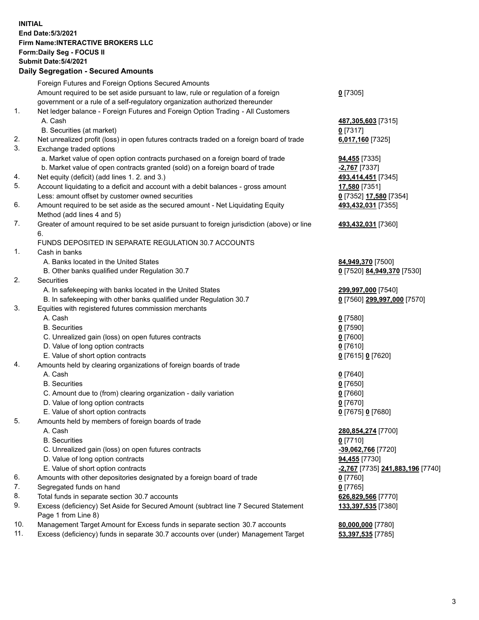## **INITIAL End Date:5/3/2021 Firm Name:INTERACTIVE BROKERS LLC Form:Daily Seg - FOCUS II Submit Date:5/4/2021 Daily Segregation - Secured Amounts**

|                | $\frac{1}{2}$                                                                               |                                               |
|----------------|---------------------------------------------------------------------------------------------|-----------------------------------------------|
|                | Foreign Futures and Foreign Options Secured Amounts                                         |                                               |
|                | Amount required to be set aside pursuant to law, rule or regulation of a foreign            | $0$ [7305]                                    |
|                | government or a rule of a self-regulatory organization authorized thereunder                |                                               |
| 1.             | Net ledger balance - Foreign Futures and Foreign Option Trading - All Customers             |                                               |
|                | A. Cash                                                                                     | 487,305,603 [7315]                            |
|                | B. Securities (at market)                                                                   | $0$ [7317]                                    |
| 2.             | Net unrealized profit (loss) in open futures contracts traded on a foreign board of trade   | 6,017,160 [7325]                              |
| 3.             | Exchange traded options                                                                     |                                               |
|                | a. Market value of open option contracts purchased on a foreign board of trade              | 94,455 [7335]                                 |
|                | b. Market value of open contracts granted (sold) on a foreign board of trade                | -2,767 <sup>[7337]</sup>                      |
| 4.             | Net equity (deficit) (add lines 1. 2. and 3.)                                               | 493,414,451 [7345]                            |
| 5.             | Account liquidating to a deficit and account with a debit balances - gross amount           | 17,580 [7351]                                 |
|                | Less: amount offset by customer owned securities                                            | 0 [7352] 17,580 [7354]                        |
| 6.             | Amount required to be set aside as the secured amount - Net Liquidating Equity              | 493,432,031 [7355]                            |
|                | Method (add lines 4 and 5)                                                                  |                                               |
| 7.             | Greater of amount required to be set aside pursuant to foreign jurisdiction (above) or line | 493,432,031 [7360]                            |
|                | 6.<br>FUNDS DEPOSITED IN SEPARATE REGULATION 30.7 ACCOUNTS                                  |                                               |
| $\mathbf{1}$ . | Cash in banks                                                                               |                                               |
|                | A. Banks located in the United States                                                       | 84,949,370 [7500]                             |
|                | B. Other banks qualified under Regulation 30.7                                              | 0 [7520] 84,949,370 [7530]                    |
| 2.             | Securities                                                                                  |                                               |
|                | A. In safekeeping with banks located in the United States                                   | 299,997,000 [7540]                            |
|                | B. In safekeeping with other banks qualified under Regulation 30.7                          | 0 [7560] 299,997,000 [7570]                   |
| 3.             | Equities with registered futures commission merchants                                       |                                               |
|                | A. Cash                                                                                     | $0$ [7580]                                    |
|                | <b>B.</b> Securities                                                                        | $0$ [7590]                                    |
|                | C. Unrealized gain (loss) on open futures contracts                                         | $0$ [7600]                                    |
|                | D. Value of long option contracts                                                           | $0$ [7610]                                    |
|                | E. Value of short option contracts                                                          | 0 [7615] 0 [7620]                             |
| 4.             | Amounts held by clearing organizations of foreign boards of trade                           |                                               |
|                | A. Cash                                                                                     | $0$ [7640]                                    |
|                | <b>B.</b> Securities                                                                        | $0$ [7650]                                    |
|                | C. Amount due to (from) clearing organization - daily variation                             | $0$ [7660]                                    |
|                | D. Value of long option contracts                                                           | $0$ [7670]                                    |
|                | E. Value of short option contracts                                                          | 0 [7675] 0 [7680]                             |
| 5.             | Amounts held by members of foreign boards of trade                                          |                                               |
|                | A. Cash                                                                                     | 280, 854, 274 [7700]                          |
|                | <b>B.</b> Securities                                                                        | $0$ [7710]                                    |
|                | C. Unrealized gain (loss) on open futures contracts                                         | -39,062,766 [7720]                            |
|                | D. Value of long option contracts                                                           | <b>94,455</b> [7730]                          |
|                | E. Value of short option contracts                                                          | <mark>-2,767</mark> [7735] 241,883,196 [7740] |
| 6.             | Amounts with other depositories designated by a foreign board of trade                      | $0$ [7760]                                    |
| 7.             | Segregated funds on hand                                                                    | $0$ [7765]                                    |
| 8.             | Total funds in separate section 30.7 accounts                                               | 626,829,566 [7770]                            |
| 9.             | Excess (deficiency) Set Aside for Secured Amount (subtract line 7 Secured Statement         | 133,397,535 [7380]                            |
|                | Page 1 from Line 8)                                                                         |                                               |
| 10.            | Management Target Amount for Excess funds in separate section 30.7 accounts                 | 80,000,000 [7780]                             |
| 11.            | Excess (deficiency) funds in separate 30.7 accounts over (under) Management Target          | 53,397,535 [7785]                             |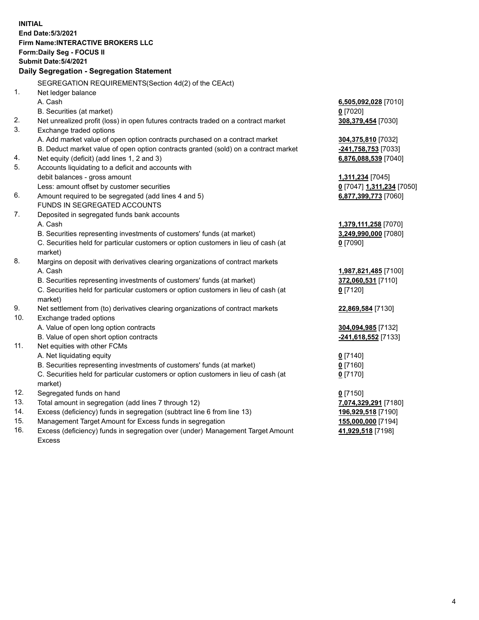**INITIAL End Date:5/3/2021 Firm Name:INTERACTIVE BROKERS LLC Form:Daily Seg - FOCUS II Submit Date:5/4/2021 Daily Segregation - Segregation Statement** SEGREGATION REQUIREMENTS(Section 4d(2) of the CEAct) 1. Net ledger balance A. Cash **6,505,092,028** [7010] B. Securities (at market) **0** [7020] 2. Net unrealized profit (loss) in open futures contracts traded on a contract market **308,379,454** [7030] 3. Exchange traded options A. Add market value of open option contracts purchased on a contract market **304,375,810** [7032] B. Deduct market value of open option contracts granted (sold) on a contract market **-241,758,753** [7033] 4. Net equity (deficit) (add lines 1, 2 and 3) **6,876,088,539** [7040] 5. Accounts liquidating to a deficit and accounts with debit balances - gross amount **1,311,234** [7045] Less: amount offset by customer securities **0** [7047] **1,311,234** [7050] 6. Amount required to be segregated (add lines 4 and 5) **6,877,399,773** [7060] FUNDS IN SEGREGATED ACCOUNTS 7. Deposited in segregated funds bank accounts A. Cash **1,379,111,258** [7070] B. Securities representing investments of customers' funds (at market) **3,249,990,000** [7080] C. Securities held for particular customers or option customers in lieu of cash (at market) **0** [7090] 8. Margins on deposit with derivatives clearing organizations of contract markets A. Cash **1,987,821,485** [7100] B. Securities representing investments of customers' funds (at market) **372,060,531** [7110] C. Securities held for particular customers or option customers in lieu of cash (at market) **0** [7120] 9. Net settlement from (to) derivatives clearing organizations of contract markets **22,869,584** [7130] 10. Exchange traded options A. Value of open long option contracts **304,094,985** [7132] B. Value of open short option contracts **-241,618,552** [7133] 11. Net equities with other FCMs A. Net liquidating equity **0** [7140] B. Securities representing investments of customers' funds (at market) **0** [7160] C. Securities held for particular customers or option customers in lieu of cash (at market) **0** [7170] 12. Segregated funds on hand **0** [7150] 13. Total amount in segregation (add lines 7 through 12) **7,074,329,291** [7180] 14. Excess (deficiency) funds in segregation (subtract line 6 from line 13) **196,929,518** [7190] 15. Management Target Amount for Excess funds in segregation **155,000,000** [7194]

16. Excess (deficiency) funds in segregation over (under) Management Target Amount Excess

**41,929,518** [7198]